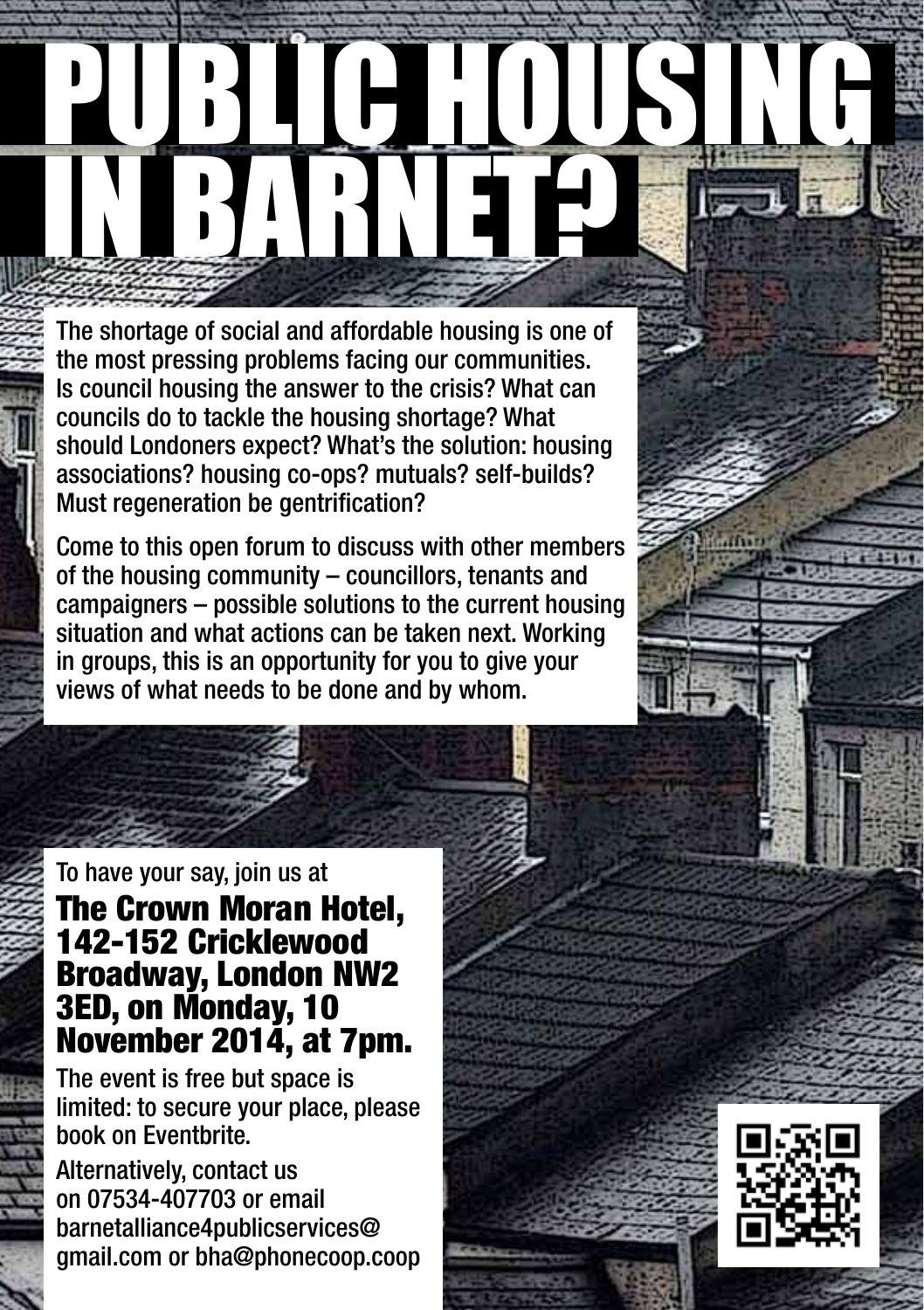## PUBLIC HOUSING IN BARNET

The shortage of social and affordable housing is one of the most pressing problems facing our communities. Is council housing the answer to the crisis? What can councils do to tackle the housing shortage? What should Londoners expect? What's the solution: housing associations? housing co-ops? mutuals? self-builds? Must regeneration be gentrification?

Come to this open forum to discuss with other members of the housing community – councillors, tenants and campaigners – possible solutions to the current housing situation and what actions can be taken next. Working in groups, this is an opportunity for you to give your views of what needs to be done and by whom.

## To have your say, join us at

## The Crown Moran Hotel, 142-152 Cricklewood Broadway, London NW2 3ED, on Monday, 10 November 2014, at 7pm.

The event is free but space is limited: to secure your place, please book on Eventbrite.

Alternatively, contact us on 07534-407703 or email barnetalliance4publicservices@ gmail.com or bha@phonecoop.coop